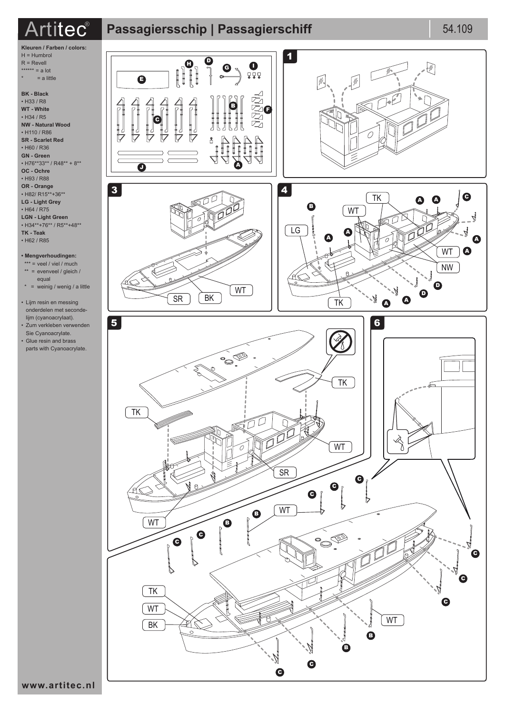## $\text{Artilec}^\text{\text{\textregistered}}$  Passagiersschip | Passagierschiff 54.109 **Passagiers**



**BK - Black** • H33 / R8 **WT - White** • H34 / R5 **NW - Natural Wood**  • H110 / R86 **SR - Scarlet Red** • H60 / R36 **GN - Green** • H76\*\*33\*\* / R48\*\* + 8\*\* **OC - Ochre** • H93 / R88 **OR - Orange** • H82/ R15\*\*+36\*\* **LG - Light Grey** • H64 / R75 **LGN - Light Green** • H34\*\*+76\*\* / R5\*\*+48\*\* **TK - Teak** • H62 / R85

## **• Mengverhoudingen:**

- \*\*\* = veel / viel / much \*\* = evenveel / gleich / equal
- \* = weinig / wenig / a little
- Lijm resin en messing onderdelen met secondelijm (cyanoacrylaat). • Zum verkleben verwenden
- Sie Cyanoacrylate. • Glue resin and brass parts with Cyanoacrylate.